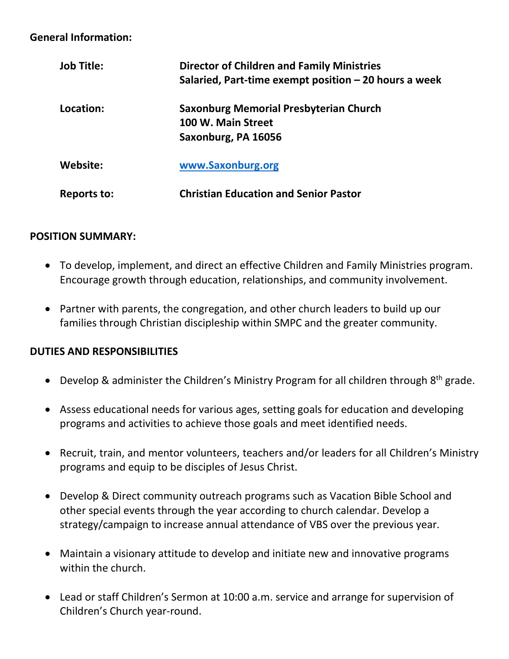#### **General Information:**

| <b>Job Title:</b> | <b>Director of Children and Family Ministries</b><br>Salaried, Part-time exempt position - 20 hours a week |
|-------------------|------------------------------------------------------------------------------------------------------------|
| Location:         | <b>Saxonburg Memorial Presbyterian Church</b><br>100 W. Main Street<br>Saxonburg, PA 16056                 |
| Website:          | www.Saxonburg.org                                                                                          |
| Reports to:       | <b>Christian Education and Senior Pastor</b>                                                               |

#### **POSITION SUMMARY:**

- To develop, implement, and direct an effective Children and Family Ministries program. Encourage growth through education, relationships, and community involvement.
- Partner with parents, the congregation, and other church leaders to build up our families through Christian discipleship within SMPC and the greater community.

# **DUTIES AND RESPONSIBILITIES**

- Develop & administer the Children's Ministry Program for all children through 8<sup>th</sup> grade.
- Assess educational needs for various ages, setting goals for education and developing programs and activities to achieve those goals and meet identified needs.
- Recruit, train, and mentor volunteers, teachers and/or leaders for all Children's Ministry programs and equip to be disciples of Jesus Christ.
- Develop & Direct community outreach programs such as Vacation Bible School and other special events through the year according to church calendar. Develop a strategy/campaign to increase annual attendance of VBS over the previous year.
- Maintain a visionary attitude to develop and initiate new and innovative programs within the church.
- Lead or staff Children's Sermon at 10:00 a.m. service and arrange for supervision of Children's Church year-round.